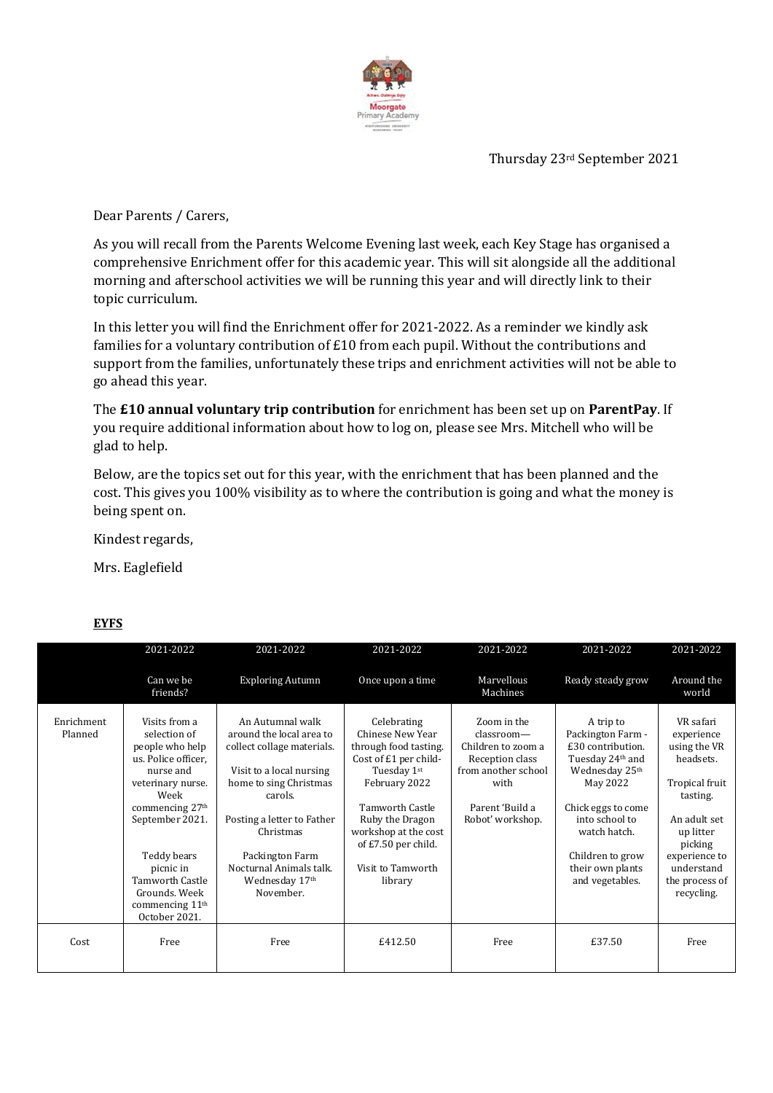

Thursday 23rd September 2021

Dear Parents / Carers,

As you will recall from the Parents Welcome Evening last week, each Key Stage has organised a comprehensive Enrichment offer for this academic year. This will sit alongside all the additional morning and afterschool activities we will be running this year and will directly link to their topic curriculum.

In this letter you will find the Enrichment offer for 2021-2022. As a reminder we kindly ask families for a voluntary contribution of £10 from each pupil. Without the contributions and support from the families, unfortunately these trips and enrichment activities will not be able to go ahead this year.

The **£10 annual voluntary trip contribution** for enrichment has been set up on **ParentPay**. If you require additional information about how to log on, please see Mrs. Mitchell who will be glad to help.

Below, are the topics set out for this year, with the enrichment that has been planned and the cost. This gives you 100% visibility as to where the contribution is going and what the money is being spent on.

Kindest regards,

Mrs. Eaglefield

|                       | 2021-2022                                                                                                                                                                                                                                                                        | 2021-2022                                                                                                                                                                                                                                                           | 2021-2022                                                                                                                                                                                                                                     | 2021-2022                                                                                                                                   | 2021-2022                                                                                                                                                                                                                                        | 2021-2022                                                                                                                                                                                 |
|-----------------------|----------------------------------------------------------------------------------------------------------------------------------------------------------------------------------------------------------------------------------------------------------------------------------|---------------------------------------------------------------------------------------------------------------------------------------------------------------------------------------------------------------------------------------------------------------------|-----------------------------------------------------------------------------------------------------------------------------------------------------------------------------------------------------------------------------------------------|---------------------------------------------------------------------------------------------------------------------------------------------|--------------------------------------------------------------------------------------------------------------------------------------------------------------------------------------------------------------------------------------------------|-------------------------------------------------------------------------------------------------------------------------------------------------------------------------------------------|
|                       | Can we be<br>friends?                                                                                                                                                                                                                                                            | <b>Exploring Autumn</b>                                                                                                                                                                                                                                             | Once upon a time                                                                                                                                                                                                                              | Marvellous<br>Machines                                                                                                                      | Ready steady grow                                                                                                                                                                                                                                | Around the<br>world                                                                                                                                                                       |
| Enrichment<br>Planned | Visits from a<br>selection of<br>people who help<br>us. Police officer,<br>nurse and<br>veterinary nurse.<br>Week<br>commencing 27 <sup>th</sup><br>September 2021.<br>Teddy bears<br>picnic in<br><b>Tamworth Castle</b><br>Grounds, Week<br>commencing $11th$<br>October 2021. | An Autumnal walk<br>around the local area to<br>collect collage materials.<br>Visit to a local nursing<br>home to sing Christmas<br>carols.<br>Posting a letter to Father<br>Christmas<br>Packington Farm<br>Nocturnal Animals talk.<br>Wednesday 17th<br>November. | Celebrating<br>Chinese New Year<br>through food tasting.<br>Cost of £1 per child-<br>Tuesday 1st<br>February 2022<br><b>Tamworth Castle</b><br>Ruby the Dragon<br>workshop at the cost<br>of £7.50 per child.<br>Visit to Tamworth<br>library | Zoom in the<br>$classroom$ —<br>Children to zoom a<br>Reception class<br>from another school<br>with<br>Parent 'Build a<br>Robot' workshop. | A trip to<br>Packington Farm -<br>£30 contribution.<br>Tuesday 24 <sup>th</sup> and<br>Wednesday 25 <sup>th</sup><br>May 2022<br>Chick eggs to come<br>into school to<br>watch hatch.<br>Children to grow<br>their own plants<br>and vegetables. | VR safari<br>experience<br>using the VR<br>headsets.<br>Tropical fruit<br>tasting.<br>An adult set<br>up litter<br>picking<br>experience to<br>understand<br>the process of<br>recycling. |
| Cost                  | Free                                                                                                                                                                                                                                                                             | Free                                                                                                                                                                                                                                                                | £412.50                                                                                                                                                                                                                                       | Free                                                                                                                                        | £37.50                                                                                                                                                                                                                                           | Free                                                                                                                                                                                      |

## **EYFS**